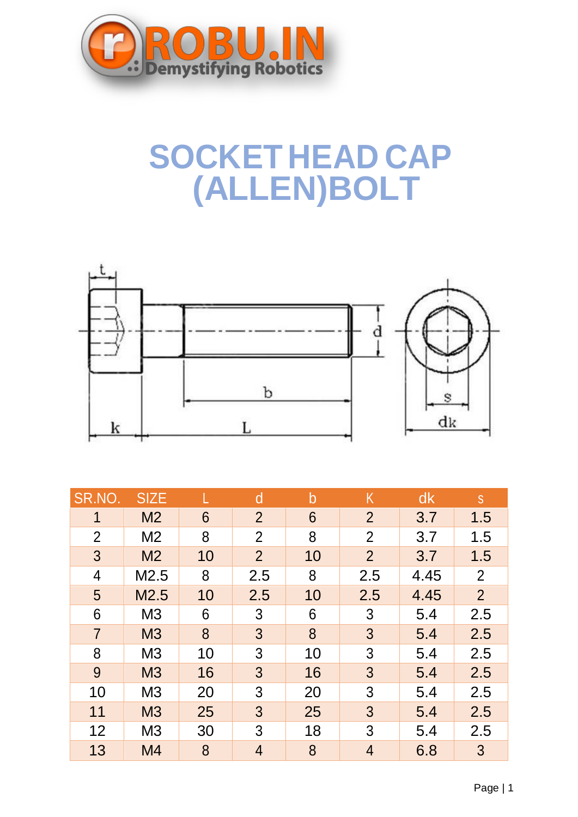

## **SOCKET HEAD CAP (ALLEN)BOLT**



| SR.NO.         | <b>SIZE</b>    |    | d              | b  | Κ              | dk   | S               |
|----------------|----------------|----|----------------|----|----------------|------|-----------------|
| 1              | M <sub>2</sub> | 6  | $\overline{2}$ | 6  | $\overline{2}$ | 3.7  | 1.5             |
| $\overline{2}$ | M <sub>2</sub> | 8  | 2              | 8  | $\overline{2}$ | 3.7  | 1.5             |
| 3              | M <sub>2</sub> | 10 | $\overline{2}$ | 10 | $\overline{2}$ | 3.7  | 1.5             |
| $\overline{4}$ | M2.5           | 8  | 2.5            | 8  | 2.5            | 4.45 | $\overline{2}$  |
| 5              | M2.5           | 10 | 2.5            | 10 | 2.5            | 4.45 | $\overline{2}$  |
| 6              | M <sub>3</sub> | 6  | 3              | 6  | 3              | 5.4  | 2.5             |
| $\overline{7}$ | M <sub>3</sub> | 8  | $\mathfrak{S}$ | 8  | $\mathbf{3}$   | 5.4  | 2.5             |
| 8              | M <sub>3</sub> | 10 | 3              | 10 | 3              | 5.4  | 2.5             |
| 9              | <b>M3</b>      | 16 | 3              | 16 | $\mathfrak{S}$ | 5.4  | 2.5             |
| 10             | M <sub>3</sub> | 20 | 3              | 20 | 3              | 5.4  | 2.5             |
| 11             | M <sub>3</sub> | 25 | 3              | 25 | $\mathfrak{Z}$ | 5.4  | 2.5             |
| 12             | M <sub>3</sub> | 30 | 3              | 18 | 3              | 5.4  | 2.5             |
| 13             | M4             | 8  | $\overline{4}$ | 8  | $\overline{4}$ | 6.8  | $3\overline{)}$ |